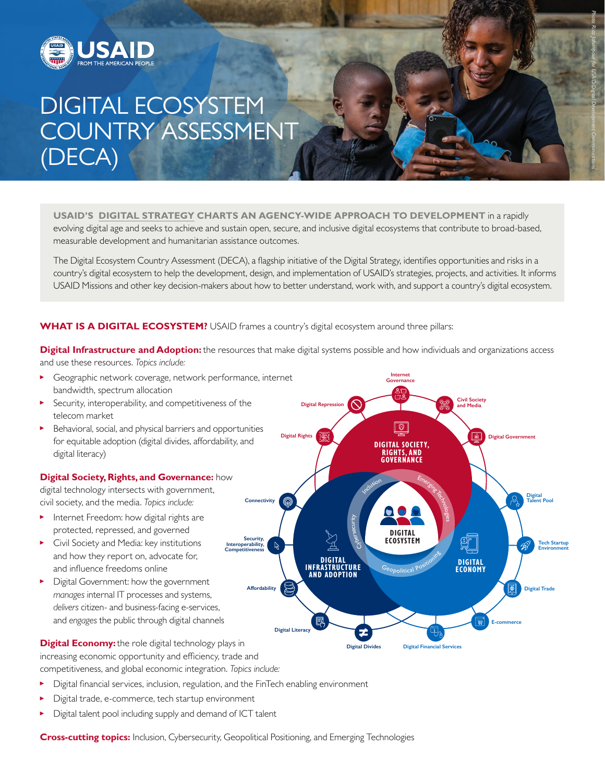

# DIGITAL ECOSYSTEM COUNTRY ASSESSMENT (DECA)

**USAID'S [DIGITAL STRATEGY](https://www.usaid.gov/usaid-digital-strategy) CHARTS AN AGENCY-WIDE APPROACH TO DEVELOPMENT** in a rapidly evolving digital age and seeks to achieve and sustain open, secure, and inclusive digital ecosystems that contribute to broad-based, measurable development and humanitarian assistance outcomes.

The Digital Ecosystem Country Assessment (DECA), a flagship initiative of the Digital Strategy, identifies opportunities and risks in a country's digital ecosystem to help the development, design, and implementation of USAID's strategies, projects, and activities. It informs USAID Missions and other key decision-makers about how to better understand, work with, and support a country's digital ecosystem.

### **WHAT IS A DIGITAL ECOSYSTEM?** USAID frames a country's digital ecosystem around three pillars:

**Digital Infrastructure and Adoption:** the resources that make digital systems possible and how individuals and organizations access and use these resources. *Topics include:*

- Geographic network coverage, network performance, internet bandwidth, spectrum allocation
- Security, interoperability, and competitiveness of the telecom market
- Behavioral, social, and physical barriers and opportunities for equitable adoption (digital divides, affordability, and digital literacy)

#### **Digital Society, Rights, and Governance:** how

digital technology intersects with government, civil society, and the media. *Topics include:* 

- **Internet Freedom: how digital rights are** protected, repressed, and governed
- Civil Society and Media: key institutions and how they report on, advocate for, and influence freedoms online
- Digital Government: how the government *manages* internal IT processes and systems, *delivers* citizen- and business-facing e-services, and *engages* the public through digital channels



*Photo: Riaz Jahanpour for USAID/Digital Development Communications*

**Digital Economy:** the role digital technology plays in increasing economic opportunity and efficiency, trade and competitiveness, and global economic integration. *Topics include:*

- Й Digital financial services, inclusion, regulation, and the FinTech enabling environment
- Digital trade, e-commerce, tech startup environment
- Digital talent pool including supply and demand of ICT talent

**Cross-cutting topics:** Inclusion, Cybersecurity, Geopolitical Positioning, and Emerging Technologies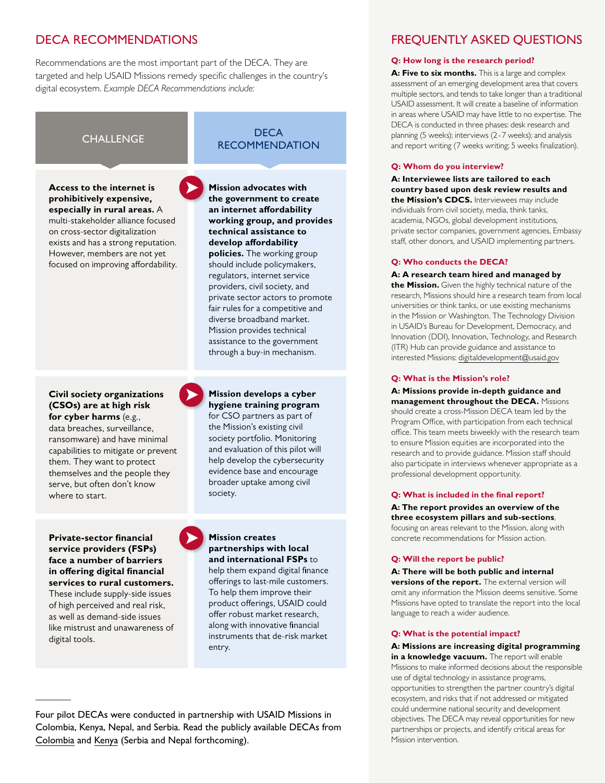# DECA RECOMMENDATIONS

Recommendations are the most important part of the DECA. They are targeted and help USAID Missions remedy specific challenges in the country's digital ecosystem. *Example DECA Recommendations include:*

**Access to the internet is prohibitively expensive, especially in rural areas.** A multi-stakeholder alliance focused on cross-sector digitalization exists and has a strong reputation. However, members are not yet focused on improving affordability.

#### **Civil society organizations (CSOs) are at high risk for cyber harms** (e.g.,

data breaches, surveillance, ransomware) and have minimal capabilities to mitigate or prevent them. They want to protect themselves and the people they serve, but often don't know where to start.

#### **Private-sector financial service providers (FSPs) face a number of barriers in offering digital financial services to rural customers.**

These include supply-side issues of high perceived and real risk, as well as demand-side issues like mistrust and unawareness of digital tools.

### **CHALLENGE** DECA **RECOMMENDATION**

**Mission advocates with the government to create an internet affordability working group, and provides technical assistance to develop affordability policies.** The working group should include policymakers, regulators, internet service providers, civil society, and private sector actors to promote fair rules for a competitive and diverse broadband market. Mission provides technical assistance to the government through a buy-in mechanism.

#### **Mission develops a cyber hygiene training program**

for CSO partners as part of the Mission's existing civil society portfolio. Monitoring and evaluation of this pilot will help develop the cybersecurity evidence base and encourage broader uptake among civil society.

### **Mission creates partnerships with local and international FSPs** to

help them expand digital finance offerings to last-mile customers. To help them improve their product offerings, USAID could offer robust market research, along with innovative financial instruments that de-risk market entry.

Four pilot DECAs were conducted in partnership with USAID Missions in Colombia, Kenya, Nepal, and Serbia. Read the publicly available DECAs from [Colombia](https://www.usaid.gov/digital-development/DECA/Colombia) and [Kenya](https://www.usaid.gov/digital-development/DECA/Kenya) (Serbia and Nepal forthcoming).

## FREQUENTLY ASKED QUESTIONS

#### **Q: How long is the research period?**

A: Five to six months. This is a large and complex assessment of an emerging development area that covers multiple sectors, and tends to take longer than a traditional USAID assessment. It will create a baseline of information in areas where USAID may have little to no expertise. The DECA is conducted in three phases: desk research and planning (5 weeks); interviews (2-7 weeks); and analysis and report writing (7 weeks writing; 5 weeks finalization).

#### **Q: Whom do you interview?**

**A: Interviewee lists are tailored to each country based upon desk review results and the Mission's CDCS.** Interviewees may include individuals from civil society, media, think tanks, academia, NGOs, global development institutions, private sector companies, government agencies, Embassy staff, other donors, and USAID implementing partners.

#### **Q: Who conducts the DECA?**

**A: A research team hired and managed by the Mission.** Given the highly technical nature of the research, Missions should hire a research team from local universities or think tanks, or use existing mechanisms in the Mission or Washington. The Technology Division in USAID's Bureau for Development, Democracy, and Innovation (DDI), Innovation, Technology, and Research (ITR) Hub can provide guidance and assistance to interested Missions: [digitaldevelopment@usaid.gov](mailto:digitaldevelopment%40usaid.gov?subject=)

#### **Q: What is the Mission's role?**

**A: Missions provide in-depth guidance and management throughout the DECA.** Missions should create a cross-Mission DECA team led by the Program Office, with participation from each technical office. This team meets biweekly with the research team to ensure Mission equities are incorporated into the research and to provide guidance. Mission staff should also participate in interviews whenever appropriate as a professional development opportunity.

#### **Q: What is included in the final report?**

**A: The report provides an overview of the three ecosystem pillars and sub-sections**, focusing on areas relevant to the Mission, along with concrete recommendations for Mission action.

#### **Q: Will the report be public?**

**A: There will be both public and internal versions of the report.** The external version will omit any information the Mission deems sensitive. Some Missions have opted to translate the report into the local language to reach a wider audience.

#### **Q: What is the potential impact?**

**A: Missions are increasing digital programming in a knowledge vacuum.** The report will enable Missions to make informed decisions about the responsible use of digital technology in assistance programs, opportunities to strengthen the partner country's digital ecosystem, and risks that if not addressed or mitigated could undermine national security and development objectives. The DECA may reveal opportunities for new partnerships or projects, and identify critical areas for Mission intervention.